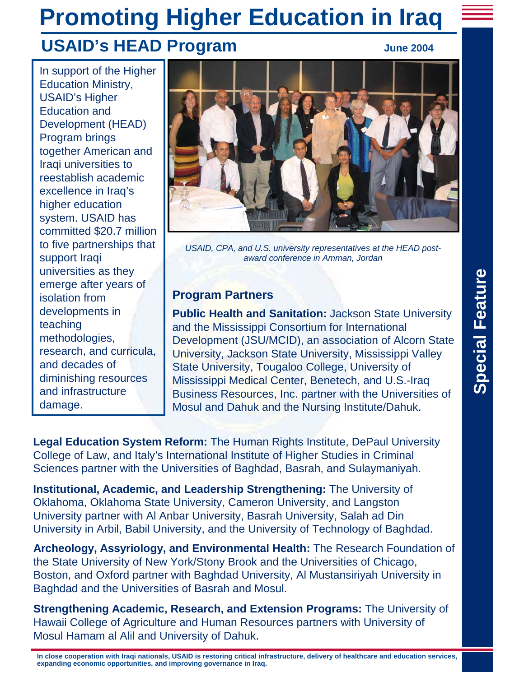# **Promoting Higher Education in Iraq USAID's HEAD Program** June 2004

In support of the Higher Education Ministry, USAID's Higher Education and Development (HEAD) Program brings together American and Iraqi universities to reestablish academic excellence in Iraq's higher education system. USAID has committed \$20.7 million to five partnerships that support Iraqi universities as they emerge after years of isolation from developments in teaching methodologies, research, and curricula, and decades of diminishing resources and infrastructure damage.



*USAID, CPA, and U.S. university representatives at the HEAD postaward conference in Amman, Jordan*

## **Program Partners**

**Public Health and Sanitation:** Jackson State University and the Mississippi Consortium for International Development (JSU/MCID), an association of Alcorn State University, Jackson State University, Mississippi Valley State University, Tougaloo College, University of Mississippi Medical Center, Benetech, and U.S.-Iraq Business Resources, Inc. partner with the Universities of Mosul and Dahuk and the Nursing Institute/Dahuk.

**Legal Education System Reform:** The Human Rights Institute, DePaul University College of Law, and Italy's International Institute of Higher Studies in Criminal Sciences partner with the Universities of Baghdad, Basrah, and Sulaymaniyah.

**Institutional, Academic, and Leadership Strengthening:** The University of Oklahoma, Oklahoma State University, Cameron University, and Langston University partner with Al Anbar University, Basrah University, Salah ad Din University in Arbil, Babil University, and the University of Technology of Baghdad.

**Archeology, Assyriology, and Environmental Health:** The Research Foundation of the State University of New York/Stony Brook and the Universities of Chicago, Boston, and Oxford partner with Baghdad University, Al Mustansiriyah University in Baghdad and the Universities of Basrah and Mosul.

**Strengthening Academic, Research, and Extension Programs:** The University of Hawaii College of Agriculture and Human Resources partners with University of Mosul Hamam al Alil and University of Dahuk.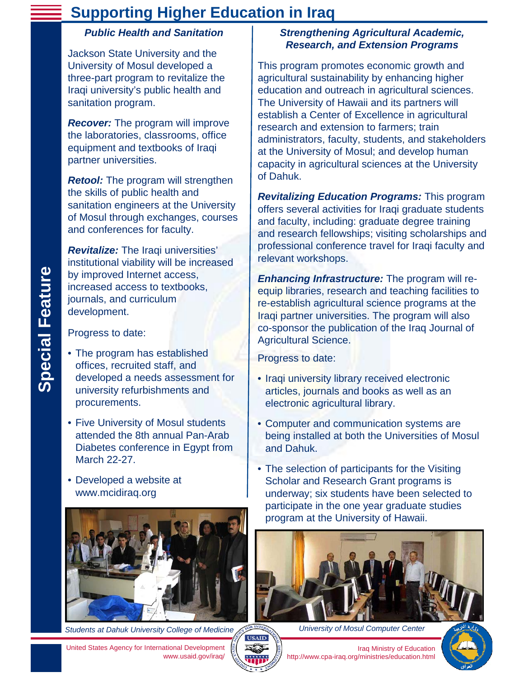# **Supporting Higher Education in Iraq**

#### *Public Health and Sanitation*

Jackson State University and the University of Mosul developed a three-part program to revitalize the Iraqi university's public health and sanitation program.

*Recover:* The program will improve the laboratories, classrooms, office equipment and textbooks of Iraqi partner universities.

*Retool:* The program will strengthen the skills of public health and sanitation engineers at the University of Mosul through exchanges, courses and conferences for faculty.

*Revitalize:* The Iraqi universities' institutional viability will be increased by improved Internet access, increased access to textbooks, journals, and curriculum development.

Progress to date:

**Special Feature**

**Special Feature** 

- The program has established offices, recruited staff, and developed a needs assessment for university refurbishments and procurements.
- Five University of Mosul students attended the 8th annual Pan-Arab Diabetes conference in Egypt from March 22-27.
- Developed a website at www.mcidiraq.org



*Students at Dahuk University College of Medicine*

#### *Strengthening Agricultural Academic, Research, and Extension Programs*

This program promotes economic growth and agricultural sustainability by enhancing higher education and outreach in agricultural sciences. The University of Hawaii and its partners will establish a Center of Excellence in agricultural research and extension to farmers; train administrators, faculty, students, and stakeholders at the University of Mosul; and develop human capacity in agricultural sciences at the University of Dahuk.

*Revitalizing Education Programs:* This program offers several activities for Iraqi graduate students and faculty, including: graduate degree training and research fellowships; visiting scholarships and professional conference travel for Iraqi faculty and relevant workshops.

*Enhancing Infrastructure:* The program will reequip libraries, research and teaching facilities to re-establish agricultural science programs at the Iraqi partner universities. The program will also co-sponsor the publication of the Iraq Journal of Agricultural Science.

Progress to date:

- Iraqi university library received electronic articles, journals and books as well as an electronic agricultural library.
- Computer and communication systems are being installed at both the Universities of Mosul and Dahuk.
- The selection of participants for the Visiting Scholar and Research Grant programs is underway; six students have been selected to participate in the one year graduate studies program at the University of Hawaii.



*University of Mosul Computer Center*

Iraq Ministry of Education http://www.cpa-iraq.org/ministries/education.html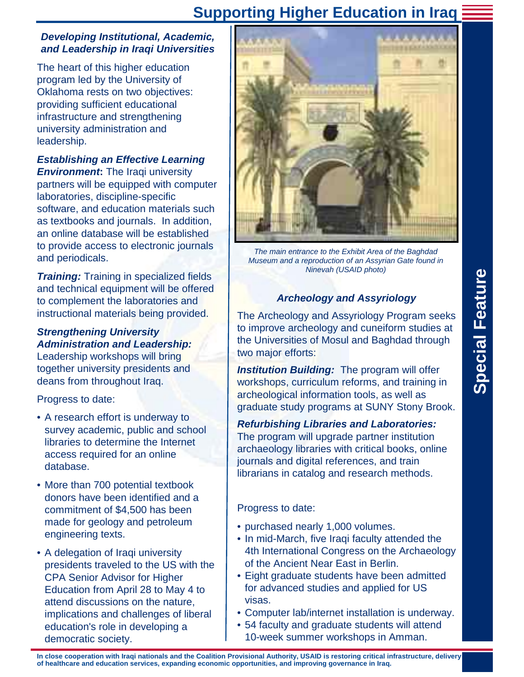# **Supporting Higher Education in Iraq**

#### *Developing Institutional, Academic, and Leadership in Iraqi Universities*

The heart of this higher education program led by the University of Oklahoma rests on two objectives: providing sufficient educational infrastructure and strengthening university administration and leadership.

# *Establishing an Effective Learning*

**Environment:** The Iraqi university partners will be equipped with computer laboratories, discipline-specific software, and education materials such as textbooks and journals. In addition, an online database will be established to provide access to electronic journals and periodicals.

**Training:** Training in specialized fields and technical equipment will be offered to complement the laboratories and instructional materials being provided.

#### *Strengthening University Administration and Leadership:*

Leadership workshops will bring together university presidents and deans from throughout Iraq.

Progress to date:

- A research effort is underway to survey academic, public and school libraries to determine the Internet access required for an online database.
- More than 700 potential textbook donors have been identified and a commitment of \$4,500 has been made for geology and petroleum engineering texts.
- A delegation of Iraqi university presidents traveled to the US with the CPA Senior Advisor for Higher Education from April 28 to May 4 to attend discussions on the nature, implications and challenges of liberal education's role in developing a democratic society.



*The main entrance to the Exhibit Area of the Baghdad Museum and a reproduction of an Assyrian Gate found in Ninevah (USAID photo)*

## *Archeology and Assyriology*

The Archeology and Assyriology Program seeks to improve archeology and cuneiform studies at the Universities of Mosul and Baghdad through two major efforts:

*Institution Building:* The program will offer workshops, curriculum reforms, and training in archeological information tools, as well as graduate study programs at SUNY Stony Brook.

*Refurbishing Libraries and Laboratories:* The program will upgrade partner institution archaeology libraries with critical books, online journals and digital references, and train librarians in catalog and research methods.

#### Progress to date:

- purchased nearly 1,000 volumes.
- In mid-March, five Iraqi faculty attended the 4th International Congress on the Archaeology of the Ancient Near East in Berlin.
- Eight graduate students have been admitted for advanced studies and applied for US visas.
- Computer lab/internet installation is underway.
- 54 faculty and graduate students will attend 10-week summer workshops in Amman.

**In close cooperation with Iraqi nationals and the Coalition Provisional Authority, USAID is restoring critical infrastructure, delivery of healthcare and education services, expanding economic opportunities, and improving governance in Iraq.**